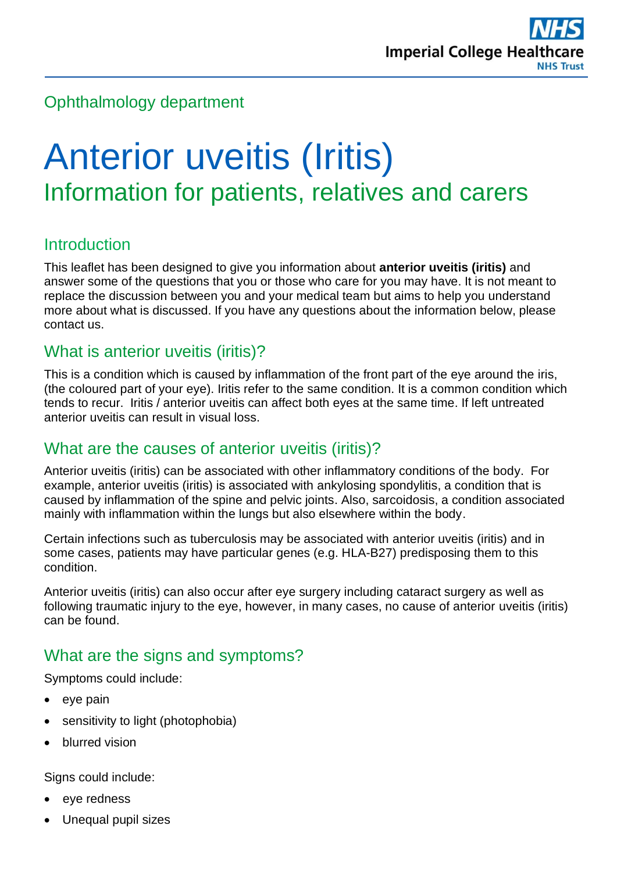# Ophthalmology department

# Anterior uveitis (Iritis) Information for patients, relatives and carers

## Introduction

This leaflet has been designed to give you information about **anterior uveitis (iritis)** and answer some of the questions that you or those who care for you may have. It is not meant to replace the discussion between you and your medical team but aims to help you understand more about what is discussed. If you have any questions about the information below, please contact us.

#### What is anterior uveitis (iritis)?

This is a condition which is caused by inflammation of the front part of the eye around the iris, (the coloured part of your eye). Iritis refer to the same condition. It is a common condition which tends to recur. Iritis / anterior uveitis can affect both eyes at the same time. If left untreated anterior uveitis can result in visual loss.

#### What are the causes of anterior uveitis (iritis)?

Anterior uveitis (iritis) can be associated with other inflammatory conditions of the body. For example, anterior uveitis (iritis) is associated with ankylosing spondylitis, a condition that is caused by inflammation of the spine and pelvic joints. Also, sarcoidosis, a condition associated mainly with inflammation within the lungs but also elsewhere within the body.

Certain infections such as tuberculosis may be associated with anterior uveitis (iritis) and in some cases, patients may have particular genes (e.g. HLA-B27) predisposing them to this condition.

Anterior uveitis (iritis) can also occur after eye surgery including cataract surgery as well as following traumatic injury to the eye, however, in many cases, no cause of anterior uveitis (iritis) can be found.

#### What are the signs and symptoms?

Symptoms could include:

- eye pain
- sensitivity to light (photophobia)
- blurred vision

Signs could include:

- eye redness
- Unequal pupil sizes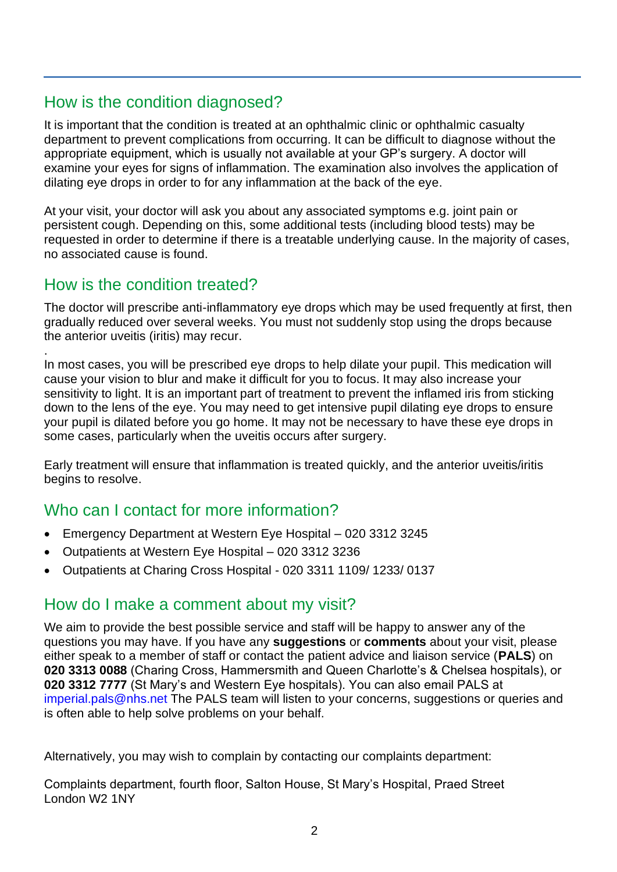## How is the condition diagnosed?

It is important that the condition is treated at an ophthalmic clinic or ophthalmic casualty department to prevent complications from occurring. It can be difficult to diagnose without the appropriate equipment, which is usually not available at your GP's surgery. A doctor will examine your eyes for signs of inflammation. The examination also involves the application of dilating eye drops in order to for any inflammation at the back of the eye.

At your visit, your doctor will ask you about any associated symptoms e.g. joint pain or persistent cough. Depending on this, some additional tests (including blood tests) may be requested in order to determine if there is a treatable underlying cause. In the majority of cases, no associated cause is found.

## How is the condition treated?

The doctor will prescribe anti-inflammatory eye drops which may be used frequently at first, then gradually reduced over several weeks. You must not suddenly stop using the drops because the anterior uveitis (iritis) may recur.

. In most cases, you will be prescribed eye drops to help dilate your pupil. This medication will cause your vision to blur and make it difficult for you to focus. It may also increase your sensitivity to light. It is an important part of treatment to prevent the inflamed iris from sticking down to the lens of the eye. You may need to get intensive pupil dilating eye drops to ensure your pupil is dilated before you go home. It may not be necessary to have these eye drops in some cases, particularly when the uveitis occurs after surgery.

Early treatment will ensure that inflammation is treated quickly, and the anterior uveitis/iritis begins to resolve.

# Who can I contact for more information?

- Emergency Department at Western Eye Hospital 020 3312 3245
- Outpatients at Western Eye Hospital 020 3312 3236
- Outpatients at Charing Cross Hospital 020 3311 1109/ 1233/ 0137

# How do I make a comment about my visit?

We aim to provide the best possible service and staff will be happy to answer any of the questions you may have. If you have any **suggestions** or **comments** about your visit, please either speak to a member of staff or contact the patient advice and liaison service (**PALS**) on **020 3313 0088** (Charing Cross, Hammersmith and Queen Charlotte's & Chelsea hospitals), or **020 3312 7777** (St Mary's and Western Eye hospitals). You can also email PALS at [imperial.pals@nhs.net](mailto:imperial.pals@nhs.net) The PALS team will listen to your concerns, suggestions or queries and is often able to help solve problems on your behalf.

Alternatively, you may wish to complain by contacting our complaints department:

Complaints department, fourth floor, Salton House, St Mary's Hospital, Praed Street London W2 1NY